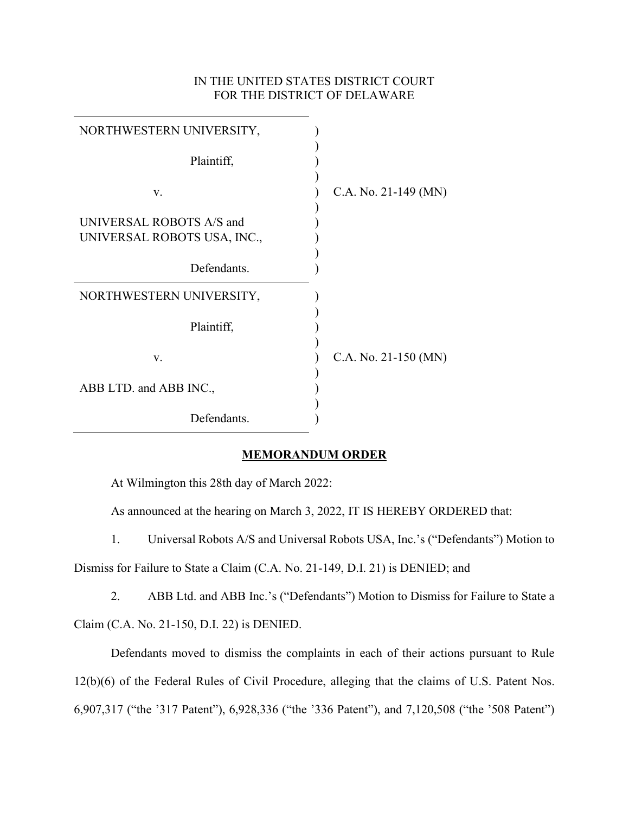# IN THE UNITED STATES DISTRICT COURT FOR THE DISTRICT OF DELAWARE

| NORTHWESTERN UNIVERSITY,                                |                        |
|---------------------------------------------------------|------------------------|
| Plaintiff,                                              |                        |
| V.                                                      | C.A. No. 21-149 (MN)   |
| UNIVERSAL ROBOTS A/S and<br>UNIVERSAL ROBOTS USA, INC., |                        |
| Defendants.                                             |                        |
| NORTHWESTERN UNIVERSITY,                                |                        |
| Plaintiff,                                              |                        |
| V.                                                      | C.A. No. $21-150$ (MN) |
| ABB LTD. and ABB INC.,                                  |                        |
| Defendants.                                             |                        |

# **MEMORANDUM ORDER**

At Wilmington this 28th day of March 2022:

As announced at the hearing on March 3, 2022, IT IS HEREBY ORDERED that:

1. Universal Robots A/S and Universal Robots USA, Inc.'s ("Defendants") Motion to

Dismiss for Failure to State a Claim (C.A. No. 21-149, D.I. 21) is DENIED; and

2. ABB Ltd. and ABB Inc.'s ("Defendants") Motion to Dismiss for Failure to State a Claim (C.A. No. 21-150, D.I. 22) is DENIED.

Defendants moved to dismiss the complaints in each of their actions pursuant to Rule 12(b)(6) of the Federal Rules of Civil Procedure, alleging that the claims of U.S. Patent Nos. 6,907,317 ("the '317 Patent"), 6,928,336 ("the '336 Patent"), and 7,120,508 ("the '508 Patent")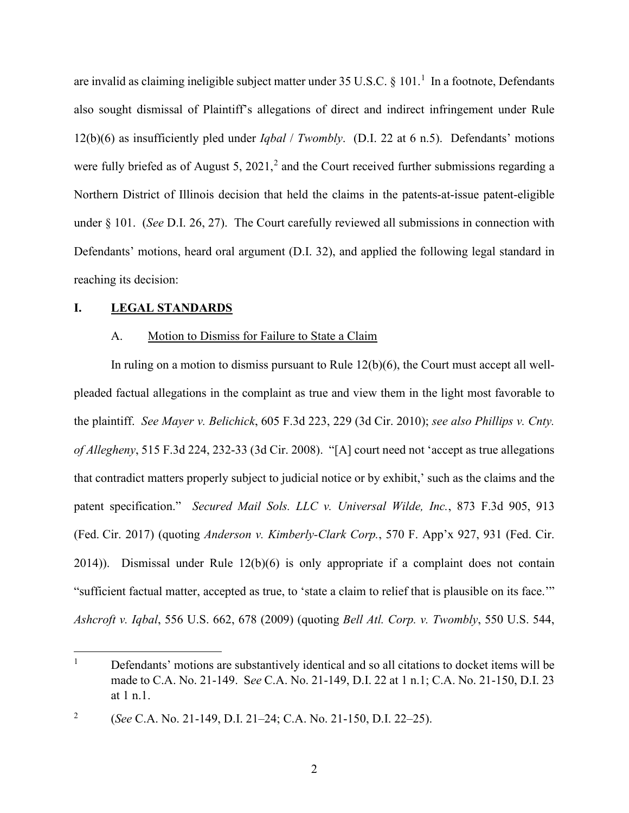are invalid as claiming ineligible subject matter under 35 U.S.C.  $\S 101$  $\S 101$  $\S 101$ .<sup>1</sup> In a footnote, Defendants also sought dismissal of Plaintiff's allegations of direct and indirect infringement under Rule 12(b)(6) as insufficiently pled under *Iqbal* / *Twombly*. (D.I. 22 at 6 n.5). Defendants' motions were fully briefed as of August 5,  $2021$  $2021$ ,<sup>2</sup> and the Court received further submissions regarding a Northern District of Illinois decision that held the claims in the patents-at-issue patent-eligible under § 101. (*See* D.I. 26, 27). The Court carefully reviewed all submissions in connection with Defendants' motions, heard oral argument (D.I. 32), and applied the following legal standard in reaching its decision:

## **I. LEGAL STANDARDS**

### A. Motion to Dismiss for Failure to State a Claim

In ruling on a motion to dismiss pursuant to Rule 12(b)(6), the Court must accept all wellpleaded factual allegations in the complaint as true and view them in the light most favorable to the plaintiff. *See Mayer v. Belichick*, 605 F.3d 223, 229 (3d Cir. 2010); *see also Phillips v. Cnty. of Allegheny*, 515 F.3d 224, 232-33 (3d Cir. 2008). "[A] court need not 'accept as true allegations that contradict matters properly subject to judicial notice or by exhibit,' such as the claims and the patent specification." *Secured Mail Sols. LLC v. Universal Wilde, Inc.*, 873 F.3d 905, 913 (Fed. Cir. 2017) (quoting *Anderson v. Kimberly-Clark Corp.*, 570 F. App'x 927, 931 (Fed. Cir. 2014)). Dismissal under Rule 12(b)(6) is only appropriate if a complaint does not contain "sufficient factual matter, accepted as true, to 'state a claim to relief that is plausible on its face.'" *Ashcroft v. Iqbal*, 556 U.S. 662, 678 (2009) (quoting *Bell Atl. Corp. v. Twombly*, 550 U.S. 544,

<span id="page-1-0"></span> $1$  Defendants' motions are substantively identical and so all citations to docket items will be made to C.A. No. 21-149. S*ee* C.A. No. 21-149, D.I. 22 at 1 n.1; C.A. No. 21-150, D.I. 23 at 1 n.1.

<span id="page-1-1"></span><sup>2</sup> (*See* C.A. No. 21-149, D.I. 21–24; C.A. No. 21-150, D.I. 22–25).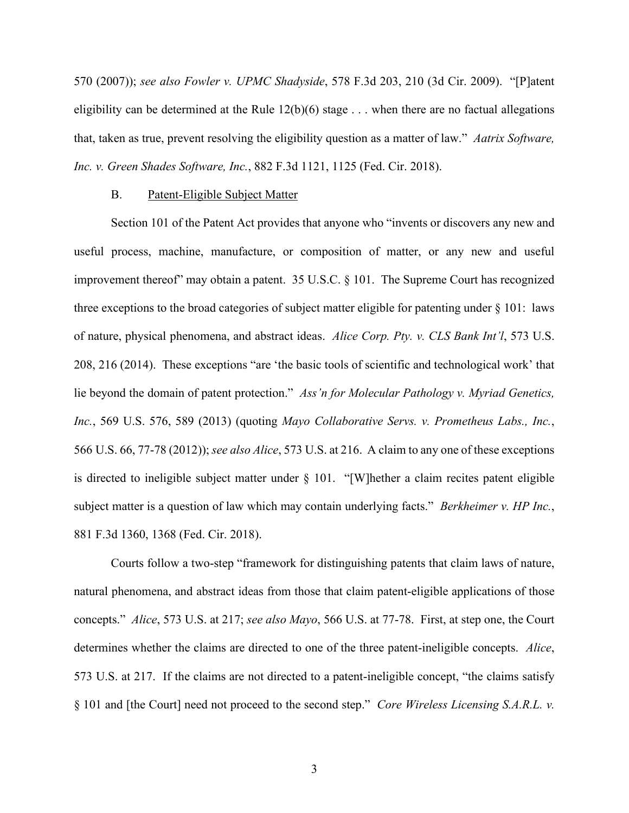570 (2007)); *see also Fowler v. UPMC Shadyside*, 578 F.3d 203, 210 (3d Cir. 2009). "[P]atent eligibility can be determined at the Rule  $12(b)(6)$  stage . . . when there are no factual allegations that, taken as true, prevent resolving the eligibility question as a matter of law." *Aatrix Software, Inc. v. Green Shades Software, Inc.*, 882 F.3d 1121, 1125 (Fed. Cir. 2018).

#### B. Patent-Eligible Subject Matter

Section 101 of the Patent Act provides that anyone who "invents or discovers any new and useful process, machine, manufacture, or composition of matter, or any new and useful improvement thereof" may obtain a patent. 35 U.S.C. § 101. The Supreme Court has recognized three exceptions to the broad categories of subject matter eligible for patenting under § 101: laws of nature, physical phenomena, and abstract ideas. *Alice Corp. Pty. v. CLS Bank Int'l*, 573 U.S. 208, 216 (2014). These exceptions "are 'the basic tools of scientific and technological work' that lie beyond the domain of patent protection." *Ass'n for Molecular Pathology v. Myriad Genetics, Inc.*, 569 U.S. 576, 589 (2013) (quoting *Mayo Collaborative Servs. v. Prometheus Labs., Inc.*, 566 U.S. 66, 77-78 (2012)); *see also Alice*, 573 U.S. at 216. A claim to any one of these exceptions is directed to ineligible subject matter under § 101. "[W]hether a claim recites patent eligible subject matter is a question of law which may contain underlying facts." *Berkheimer v. HP Inc.*, 881 F.3d 1360, 1368 (Fed. Cir. 2018).

Courts follow a two-step "framework for distinguishing patents that claim laws of nature, natural phenomena, and abstract ideas from those that claim patent-eligible applications of those concepts." *Alice*, 573 U.S. at 217; *see also Mayo*, 566 U.S. at 77-78. First, at step one, the Court determines whether the claims are directed to one of the three patent-ineligible concepts. *Alice*, 573 U.S. at 217. If the claims are not directed to a patent-ineligible concept, "the claims satisfy § 101 and [the Court] need not proceed to the second step." *Core Wireless Licensing S.A.R.L. v.*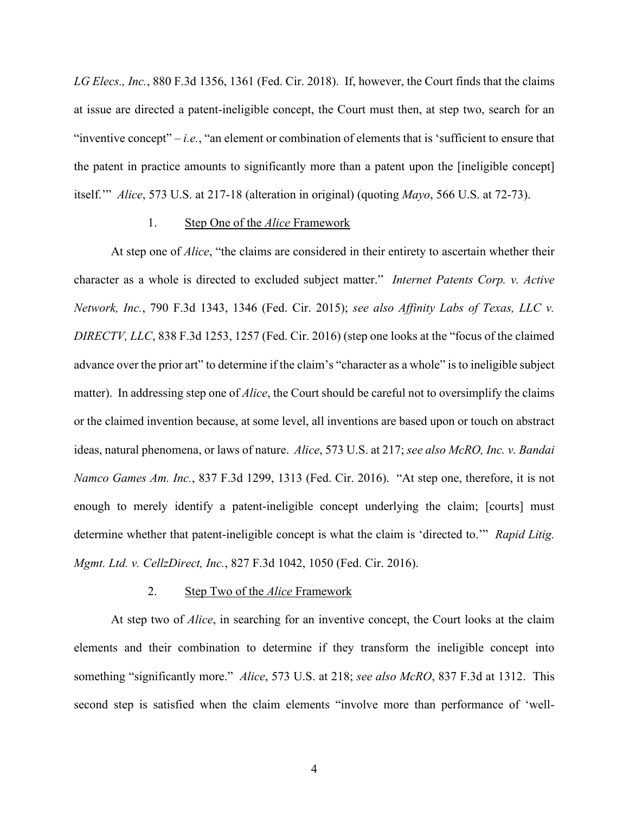*LG Elecs., Inc.*, 880 F.3d 1356, 1361 (Fed. Cir. 2018). If, however, the Court finds that the claims at issue are directed a patent-ineligible concept, the Court must then, at step two, search for an "inventive concept"  $-i.e.,$  "an element or combination of elements that is 'sufficient to ensure that the patent in practice amounts to significantly more than a patent upon the [ineligible concept] itself.'" *Alice*, 573 U.S. at 217-18 (alteration in original) (quoting *Mayo*, 566 U.S. at 72-73).

### 1. Step One of the *Alice* Framework

At step one of *Alice*, "the claims are considered in their entirety to ascertain whether their character as a whole is directed to excluded subject matter." *Internet Patents Corp. v. Active Network, Inc.*, 790 F.3d 1343, 1346 (Fed. Cir. 2015); *see also Affinity Labs of Texas, LLC v. DIRECTV, LLC*, 838 F.3d 1253, 1257 (Fed. Cir. 2016) (step one looks at the "focus of the claimed advance over the prior art" to determine if the claim's "character as a whole" is to ineligible subject matter). In addressing step one of *Alice*, the Court should be careful not to oversimplify the claims or the claimed invention because, at some level, all inventions are based upon or touch on abstract ideas, natural phenomena, or laws of nature. *Alice*, 573 U.S. at 217; *see also McRO, Inc. v. Bandai Namco Games Am. Inc.*, 837 F.3d 1299, 1313 (Fed. Cir. 2016). "At step one, therefore, it is not enough to merely identify a patent-ineligible concept underlying the claim; [courts] must determine whether that patent-ineligible concept is what the claim is 'directed to.'" *Rapid Litig. Mgmt. Ltd. v. CellzDirect, Inc.*, 827 F.3d 1042, 1050 (Fed. Cir. 2016).

#### 2. Step Two of the *Alice* Framework

At step two of *Alice*, in searching for an inventive concept, the Court looks at the claim elements and their combination to determine if they transform the ineligible concept into something "significantly more." *Alice*, 573 U.S. at 218; *see also McRO*, 837 F.3d at 1312. This second step is satisfied when the claim elements "involve more than performance of 'well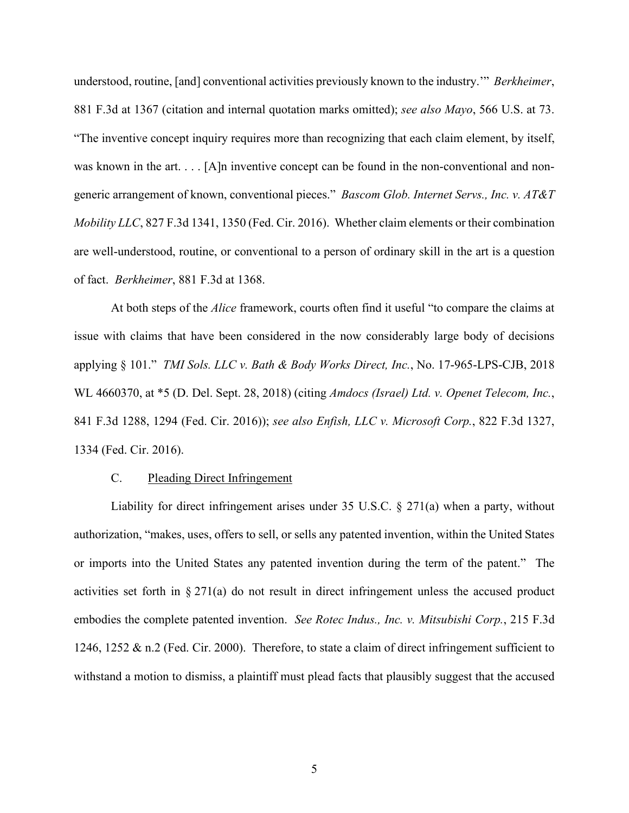understood, routine, [and] conventional activities previously known to the industry.'" *Berkheimer*, 881 F.3d at 1367 (citation and internal quotation marks omitted); *see also Mayo*, 566 U.S. at 73. "The inventive concept inquiry requires more than recognizing that each claim element, by itself, was known in the art. . . . [A]n inventive concept can be found in the non-conventional and nongeneric arrangement of known, conventional pieces." *Bascom Glob. Internet Servs., Inc. v. AT&T Mobility LLC*, 827 F.3d 1341, 1350 (Fed. Cir. 2016). Whether claim elements or their combination are well-understood, routine, or conventional to a person of ordinary skill in the art is a question of fact. *Berkheimer*, 881 F.3d at 1368.

At both steps of the *Alice* framework, courts often find it useful "to compare the claims at issue with claims that have been considered in the now considerably large body of decisions applying § 101." *TMI Sols. LLC v. Bath & Body Works Direct, Inc.*, No. 17-965-LPS-CJB, 2018 WL 4660370, at \*5 (D. Del. Sept. 28, 2018) (citing *Amdocs (Israel) Ltd. v. Openet Telecom, Inc.*, 841 F.3d 1288, 1294 (Fed. Cir. 2016)); *see also Enfish, LLC v. Microsoft Corp.*, 822 F.3d 1327, 1334 (Fed. Cir. 2016).

### C. Pleading Direct Infringement

Liability for direct infringement arises under 35 U.S.C. § 271(a) when a party, without authorization, "makes, uses, offers to sell, or sells any patented invention, within the United States or imports into the United States any patented invention during the term of the patent." The activities set forth in  $\S 271(a)$  do not result in direct infringement unless the accused product embodies the complete patented invention. *See Rotec Indus., Inc. v. Mitsubishi Corp.*, 215 F.3d 1246, 1252 & n.2 (Fed. Cir. 2000). Therefore, to state a claim of direct infringement sufficient to withstand a motion to dismiss, a plaintiff must plead facts that plausibly suggest that the accused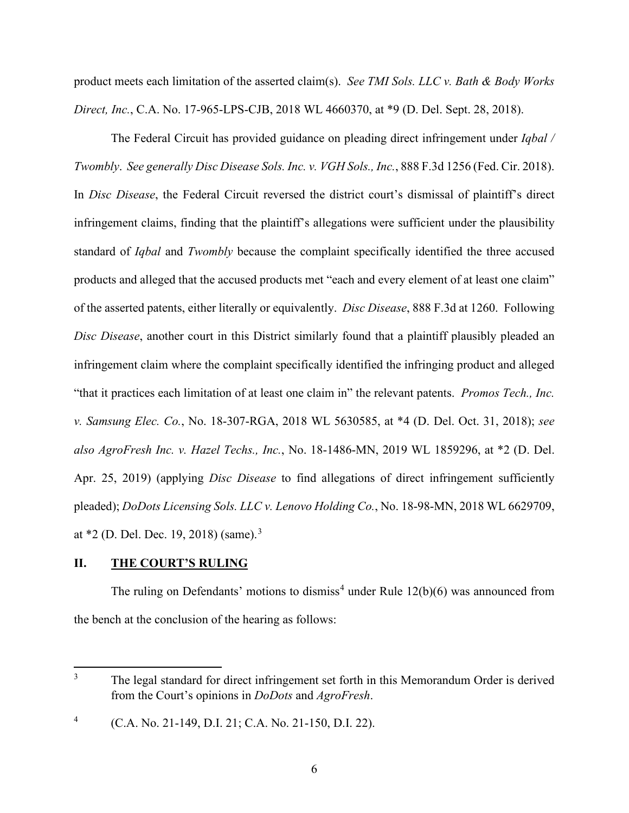product meets each limitation of the asserted claim(s). *See TMI Sols. LLC v. Bath & Body Works Direct, Inc.*, C.A. No. 17-965-LPS-CJB, 2018 WL 4660370, at \*9 (D. Del. Sept. 28, 2018).

The Federal Circuit has provided guidance on pleading direct infringement under *Iqbal / Twombly*. *See generally Disc Disease Sols. Inc. v. VGH Sols., Inc.*, 888 F.3d 1256 (Fed. Cir. 2018). In *Disc Disease*, the Federal Circuit reversed the district court's dismissal of plaintiff's direct infringement claims, finding that the plaintiff's allegations were sufficient under the plausibility standard of *Iqbal* and *Twombly* because the complaint specifically identified the three accused products and alleged that the accused products met "each and every element of at least one claim" of the asserted patents, either literally or equivalently. *Disc Disease*, 888 F.3d at 1260. Following *Disc Disease*, another court in this District similarly found that a plaintiff plausibly pleaded an infringement claim where the complaint specifically identified the infringing product and alleged "that it practices each limitation of at least one claim in" the relevant patents. *Promos Tech., Inc. v. Samsung Elec. Co.*, No. 18-307-RGA, 2018 WL 5630585, at \*4 (D. Del. Oct. 31, 2018); *see also AgroFresh Inc. v. Hazel Techs., Inc.*, No. 18-1486-MN, 2019 WL 1859296, at \*2 (D. Del. Apr. 25, 2019) (applying *Disc Disease* to find allegations of direct infringement sufficiently pleaded); *DoDots Licensing Sols. LLC v. Lenovo Holding Co.*, No. 18-98-MN, 2018 WL 6629709, at \*2 (D. Del. Dec. 19, 2018) (same).<sup>[3](#page-5-0)</sup>

# **II. THE COURT'S RULING**

The ruling on Defendants' motions to dismiss<sup>[4](#page-5-1)</sup> under Rule  $12(b)(6)$  was announced from the bench at the conclusion of the hearing as follows:

<span id="page-5-0"></span><sup>&</sup>lt;sup>3</sup> The legal standard for direct infringement set forth in this Memorandum Order is derived from the Court's opinions in *DoDots* and *AgroFresh*.

<span id="page-5-1"></span><sup>4</sup> (C.A. No. 21-149, D.I. 21; C.A. No. 21-150, D.I. 22).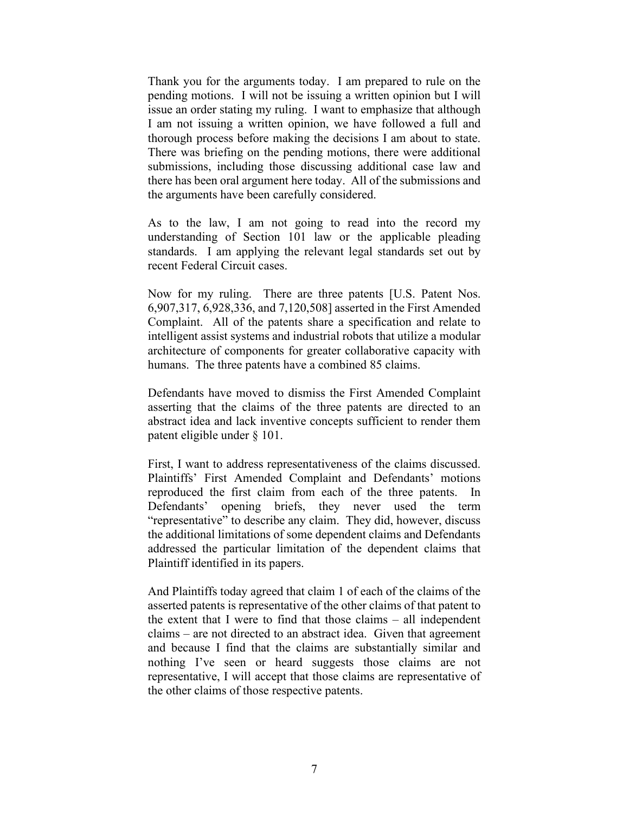Thank you for the arguments today. I am prepared to rule on the pending motions. I will not be issuing a written opinion but I will issue an order stating my ruling. I want to emphasize that although I am not issuing a written opinion, we have followed a full and thorough process before making the decisions I am about to state. There was briefing on the pending motions, there were additional submissions, including those discussing additional case law and there has been oral argument here today. All of the submissions and the arguments have been carefully considered.

As to the law, I am not going to read into the record my understanding of Section 101 law or the applicable pleading standards. I am applying the relevant legal standards set out by recent Federal Circuit cases.

Now for my ruling. There are three patents [U.S. Patent Nos. 6,907,317, 6,928,336, and 7,120,508] asserted in the First Amended Complaint. All of the patents share a specification and relate to intelligent assist systems and industrial robots that utilize a modular architecture of components for greater collaborative capacity with humans. The three patents have a combined 85 claims.

Defendants have moved to dismiss the First Amended Complaint asserting that the claims of the three patents are directed to an abstract idea and lack inventive concepts sufficient to render them patent eligible under § 101.

First, I want to address representativeness of the claims discussed. Plaintiffs' First Amended Complaint and Defendants' motions reproduced the first claim from each of the three patents. In Defendants' opening briefs, they never used the term "representative" to describe any claim. They did, however, discuss the additional limitations of some dependent claims and Defendants addressed the particular limitation of the dependent claims that Plaintiff identified in its papers.

And Plaintiffs today agreed that claim 1 of each of the claims of the asserted patents is representative of the other claims of that patent to the extent that I were to find that those claims – all independent claims – are not directed to an abstract idea. Given that agreement and because I find that the claims are substantially similar and nothing I've seen or heard suggests those claims are not representative, I will accept that those claims are representative of the other claims of those respective patents.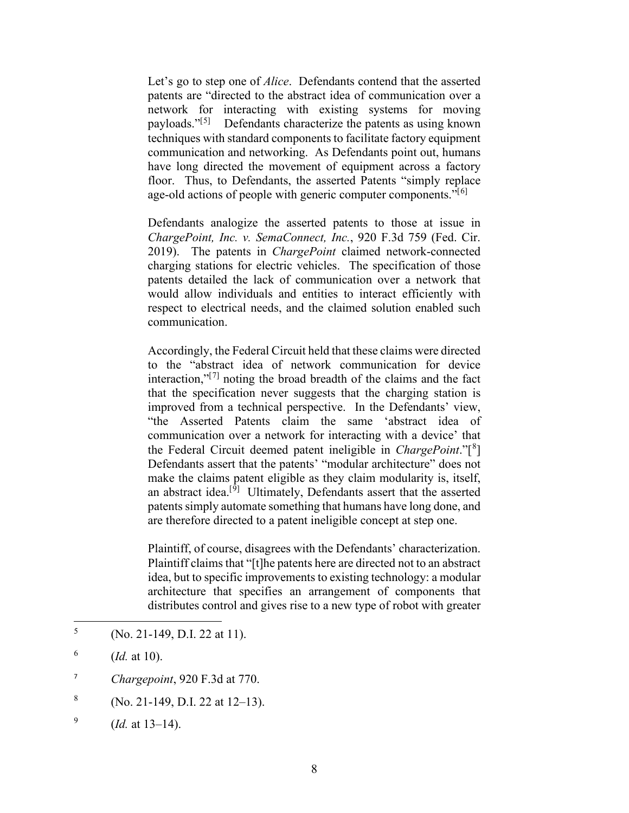Let's go to step one of *Alice*. Defendants contend that the asserted patents are "directed to the abstract idea of communication over a network for interacting with existing systems for moving payloads."<sup>[[5](#page-7-0)]</sup> Defendants characterize the patents as using known techniques with standard components to facilitate factory equipment communication and networking. As Defendants point out, humans have long directed the movement of equipment across a factory floor. Thus, to Defendants, the asserted Patents "simply replace age-old actions of people with generic computer components."<sup>[[6](#page-7-1)]</sup>

Defendants analogize the asserted patents to those at issue in *ChargePoint, Inc. v. SemaConnect, Inc.*, 920 F.3d 759 (Fed. Cir. 2019). The patents in *ChargePoint* claimed network-connected charging stations for electric vehicles. The specification of those patents detailed the lack of communication over a network that would allow individuals and entities to interact efficiently with respect to electrical needs, and the claimed solution enabled such communication.

Accordingly, the Federal Circuit held that these claims were directed to the "abstract idea of network communication for device interaction, $v^{[7]}$  $v^{[7]}$  $v^{[7]}$  noting the broad breadth of the claims and the fact that the specification never suggests that the charging station is improved from a technical perspective. In the Defendants' view, "the Asserted Patents claim the same 'abstract idea of communication over a network for interacting with a device' that the Federal Circuit deemed patent ineligible in *ChargePoint*."[ [8](#page-7-3) ] Defendants assert that the patents' "modular architecture" does not make the claims patent eligible as they claim modularity is, itself, an abstract idea.<sup>[[9\]](#page-7-4)</sup> Ultimately, Defendants assert that the asserted patents simply automate something that humans have long done, and are therefore directed to a patent ineligible concept at step one.

Plaintiff, of course, disagrees with the Defendants' characterization. Plaintiff claims that "[t]he patents here are directed not to an abstract idea, but to specific improvements to existing technology: a modular architecture that specifies an arrangement of components that distributes control and gives rise to a new type of robot with greater

- <span id="page-7-2"></span><sup>7</sup> *Chargepoint*, 920 F.3d at 770.
- <span id="page-7-3"></span> $8 \qquad (No. 21-149, D.I. 22 at 12-13).$

<span id="page-7-0"></span> $5$  (No. 21-149, D.I. 22 at 11).

<span id="page-7-1"></span> $^{6}$  (*Id.* at 10).

<span id="page-7-4"></span><sup>&</sup>lt;sup>9</sup> (*Id.* at 13–14).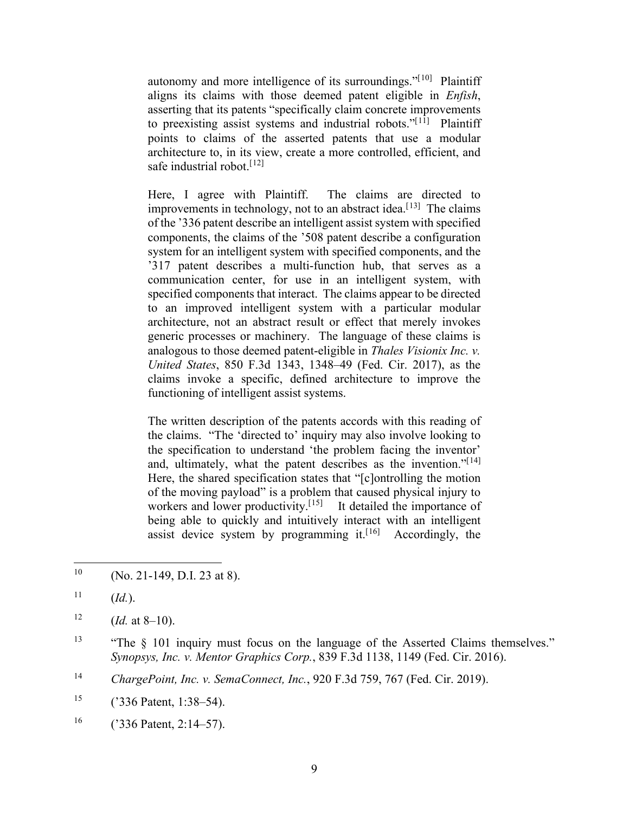autonomy and more intelligence of its surroundings."<sup>[[10](#page-8-0)]</sup> Plaintiff aligns its claims with those deemed patent eligible in *Enfish*, asserting that its patents "specifically claim concrete improvements to preexisting assist systems and industrial robots."[[11](#page-8-1)] Plaintiff points to claims of the asserted patents that use a modular architecture to, in its view, create a more controlled, efficient, and safe industrial robot.<sup>[[12](#page-8-2)]</sup>

Here, I agree with Plaintiff. The claims are directed to improvements in technology, not to an abstract idea.<sup>[[13\]](#page-8-3)</sup> The claims of the '336 patent describe an intelligent assist system with specified components, the claims of the '508 patent describe a configuration system for an intelligent system with specified components, and the '317 patent describes a multi-function hub, that serves as a communication center, for use in an intelligent system, with specified components that interact. The claims appear to be directed to an improved intelligent system with a particular modular architecture, not an abstract result or effect that merely invokes generic processes or machinery. The language of these claims is analogous to those deemed patent-eligible in *Thales Visionix Inc. v. United States*, 850 F.3d 1343, 1348–49 (Fed. Cir. 2017), as the claims invoke a specific, defined architecture to improve the functioning of intelligent assist systems.

The written description of the patents accords with this reading of the claims. "The 'directed to' inquiry may also involve looking to the specification to understand 'the problem facing the inventor' and, ultimately, what the patent describes as the invention."<sup>[[14](#page-8-4)]</sup> Here, the shared specification states that "[c]ontrolling the motion of the moving payload" is a problem that caused physical injury to workers and lower productivity.<sup>[[15\]](#page-8-5)</sup> It detailed the importance of being able to quickly and intuitively interact with an intelligent assist device system by programming it.<sup>[[16](#page-8-6)]</sup> Accordingly, the

- <span id="page-8-0"></span><sup>10</sup> (No. 21-149, D.I. 23 at 8).
- <span id="page-8-1"></span> $11$  (*Id.*).

<span id="page-8-3"></span><sup>13</sup> "The § 101 inquiry must focus on the language of the Asserted Claims themselves." *Synopsys, Inc. v. Mentor Graphics Corp.*, 839 F.3d 1138, 1149 (Fed. Cir. 2016).

<span id="page-8-4"></span><sup>14</sup> *ChargePoint, Inc. v. SemaConnect, Inc.*, 920 F.3d 759, 767 (Fed. Cir. 2019).

<span id="page-8-5"></span><sup>15</sup> ('336 Patent, 1:38–54).

<span id="page-8-6"></span> $^{16}$  ('336 Patent, 2:14–57).

<span id="page-8-2"></span><sup>&</sup>lt;sup>12</sup> (*Id.* at 8–10).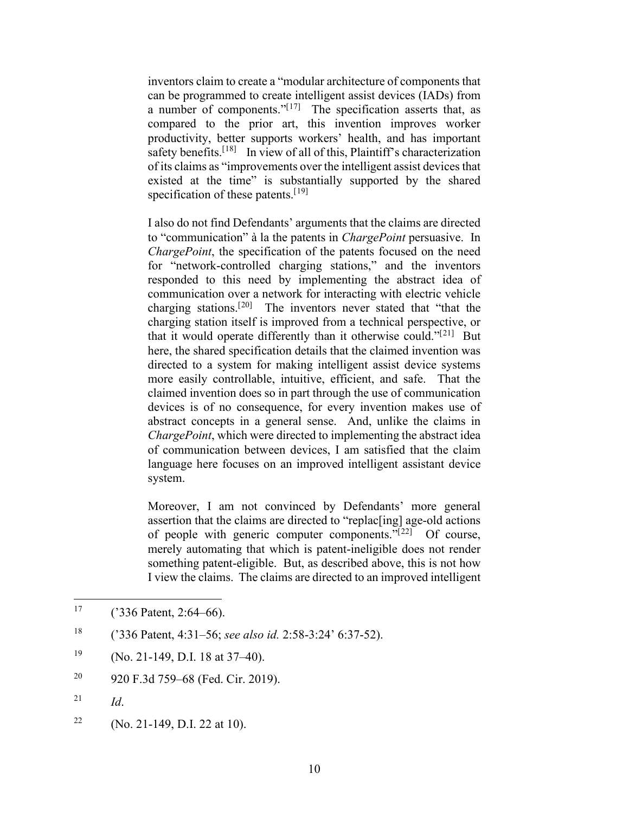inventors claim to create a "modular architecture of components that can be programmed to create intelligent assist devices (IADs) from a number of components." $[17]$  $[17]$  The specification asserts that, as compared to the prior art, this invention improves worker productivity, better supports workers' health, and has important safety benefits.<sup>[[18\]](#page-9-1)</sup> In view of all of this, Plaintiff's characterization of its claims as "improvements over the intelligent assist devices that existed at the time" is substantially supported by the shared specification of these patents.<sup>[[19](#page-9-2)]</sup>

I also do not find Defendants' arguments that the claims are directed to "communication" à la the patents in *ChargePoint* persuasive. In *ChargePoint*, the specification of the patents focused on the need for "network-controlled charging stations," and the inventors responded to this need by implementing the abstract idea of communication over a network for interacting with electric vehicle charging stations.<sup>[[20](#page-9-3)]</sup> The inventors never stated that "that the charging station itself is improved from a technical perspective, or that it would operate differently than it otherwise could."<sup>[[21](#page-9-4)]</sup> But here, the shared specification details that the claimed invention was directed to a system for making intelligent assist device systems more easily controllable, intuitive, efficient, and safe. That the claimed invention does so in part through the use of communication devices is of no consequence, for every invention makes use of abstract concepts in a general sense. And, unlike the claims in *ChargePoint*, which were directed to implementing the abstract idea of communication between devices, I am satisfied that the claim language here focuses on an improved intelligent assistant device system.

Moreover, I am not convinced by Defendants' more general assertion that the claims are directed to "replac[ing] age-old actions of people with generic computer components." $[22]$  $[22]$  Of course, merely automating that which is patent-ineligible does not render something patent-eligible. But, as described above, this is not how I view the claims. The claims are directed to an improved intelligent

- <span id="page-9-3"></span><sup>20</sup> 920 F.3d 759–68 (Fed. Cir. 2019).
- <span id="page-9-4"></span> $^{21}$  *Id.*
- <span id="page-9-5"></span><sup>22</sup> (No. 21-149, D.I. 22 at 10).

<span id="page-9-0"></span> $17$  ('336 Patent, 2:64–66).

<span id="page-9-1"></span><sup>18</sup> ('336 Patent, 4:31–56; *see also id.* 2:58-3:24' 6:37-52).

<span id="page-9-2"></span><sup>&</sup>lt;sup>19</sup> (No. 21-149, D.I. 18 at 37–40).